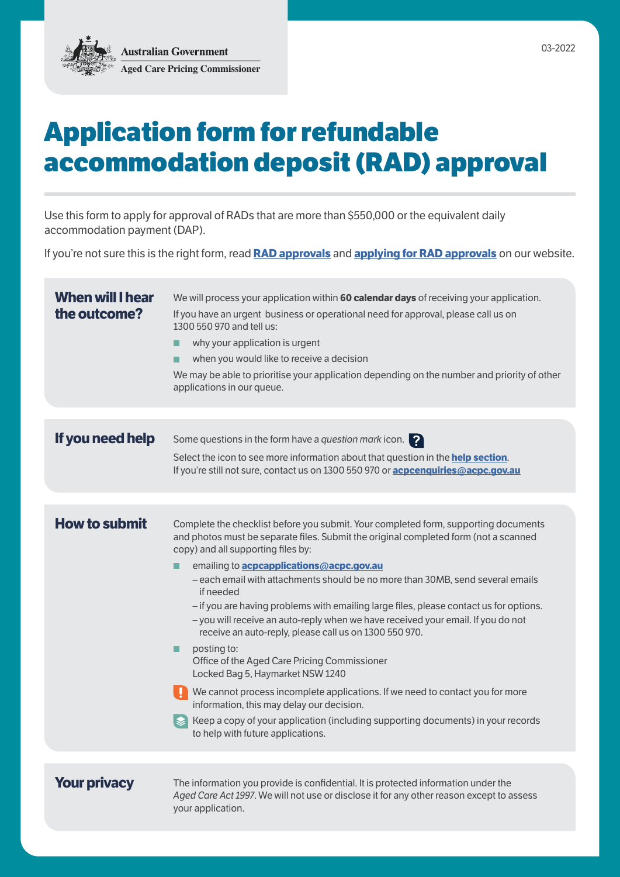# **Application form for refundable accommodation deposit (RAD) approval**

Use this form to apply for approval of RADs that are more than \$550,000 or the equivalent daily accommodation payment (DAP).

If you're not sure this is the right form, read **[RAD approvals](https://acpc.gov.au/refundable-accommodation-deposit-rad-approvals)** and **[applying for RAD approvals](https://acpc.gov.au/refundable-accommodation-deposit-rad-approvals/refundable-accommodation-deposit-rad-approval-process)** on our website.

| <b>When will I hear</b><br>the outcome? | We will process your application within 60 calendar days of receiving your application.<br>If you have an urgent business or operational need for approval, please call us on<br>1300 550 970 and tell us:<br>why your application is urgent<br>ш<br>when you would like to receive a decision<br>We may be able to prioritise your application depending on the number and priority of other<br>applications in our queue.                                                                                                                                                                                                                                                                                                                                                                                                                                                                                                                                                       |
|-----------------------------------------|-----------------------------------------------------------------------------------------------------------------------------------------------------------------------------------------------------------------------------------------------------------------------------------------------------------------------------------------------------------------------------------------------------------------------------------------------------------------------------------------------------------------------------------------------------------------------------------------------------------------------------------------------------------------------------------------------------------------------------------------------------------------------------------------------------------------------------------------------------------------------------------------------------------------------------------------------------------------------------------|
| If you need help                        | Some questions in the form have a <i>question mark</i> icon. $\bigcirc$<br>Select the icon to see more information about that question in the <b>help section</b> .<br>If you're still not sure, contact us on 1300 550 970 or acpcenquiries@acpc.gov.au                                                                                                                                                                                                                                                                                                                                                                                                                                                                                                                                                                                                                                                                                                                          |
| <b>How to submit</b>                    | Complete the checklist before you submit. Your completed form, supporting documents<br>and photos must be separate files. Submit the original completed form (not a scanned<br>copy) and all supporting files by:<br>emailing to <b>acpcapplications@acpc.gov.au</b><br>- each email with attachments should be no more than 30MB, send several emails<br>if needed<br>- if you are having problems with emailing large files, please contact us for options.<br>- you will receive an auto-reply when we have received your email. If you do not<br>receive an auto-reply, please call us on 1300 550 970.<br>posting to:<br>Office of the Aged Care Pricing Commissioner<br>Locked Bag 5, Haymarket NSW 1240<br>We cannot process incomplete applications. If we need to contact you for more<br>information, this may delay our decision.<br>$\leqslant$ Keep a copy of your application (including supporting documents) in your records<br>to help with future applications. |
|                                         |                                                                                                                                                                                                                                                                                                                                                                                                                                                                                                                                                                                                                                                                                                                                                                                                                                                                                                                                                                                   |

**Your privacy** The information you provide is confidential. It is protected information under the *Aged Care Act 1997*. We will not use or disclose it for any other reason except to assess your application.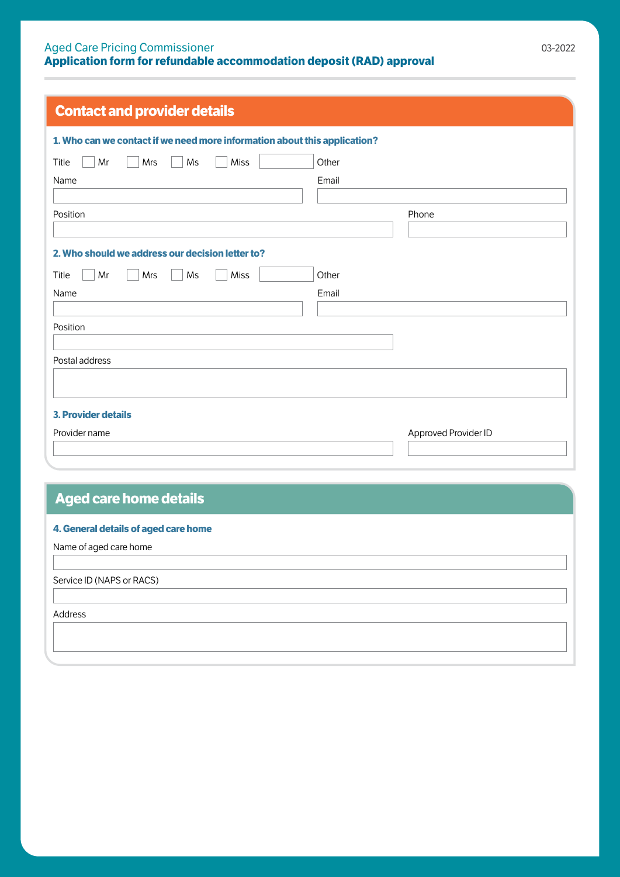#### Aged Care Pricing Commissioner **Application form for refundable accommodation deposit (RAD) approval**

| <b>Contact and provider details</b>                                       |       |                      |
|---------------------------------------------------------------------------|-------|----------------------|
| 1. Who can we contact if we need more information about this application? |       |                      |
| Title<br>Mr<br>Ms<br>Miss<br>Mrs                                          | Other |                      |
| Name                                                                      | Email |                      |
|                                                                           |       |                      |
| Position                                                                  |       | Phone                |
|                                                                           |       |                      |
| 2. Who should we address our decision letter to?                          |       |                      |
| Mr<br>Mrs<br>Ms<br>Miss<br>Title                                          | Other |                      |
| Name                                                                      | Email |                      |
|                                                                           |       |                      |
| Position                                                                  |       |                      |
| Postal address                                                            |       |                      |
|                                                                           |       |                      |
|                                                                           |       |                      |
| <b>3. Provider details</b>                                                |       |                      |
| Provider name                                                             |       | Approved Provider ID |
|                                                                           |       |                      |

## **Aged care home details**

#### **4. General details of aged care home**

Name of aged care home

Service ID (NAPS or RACS)

Address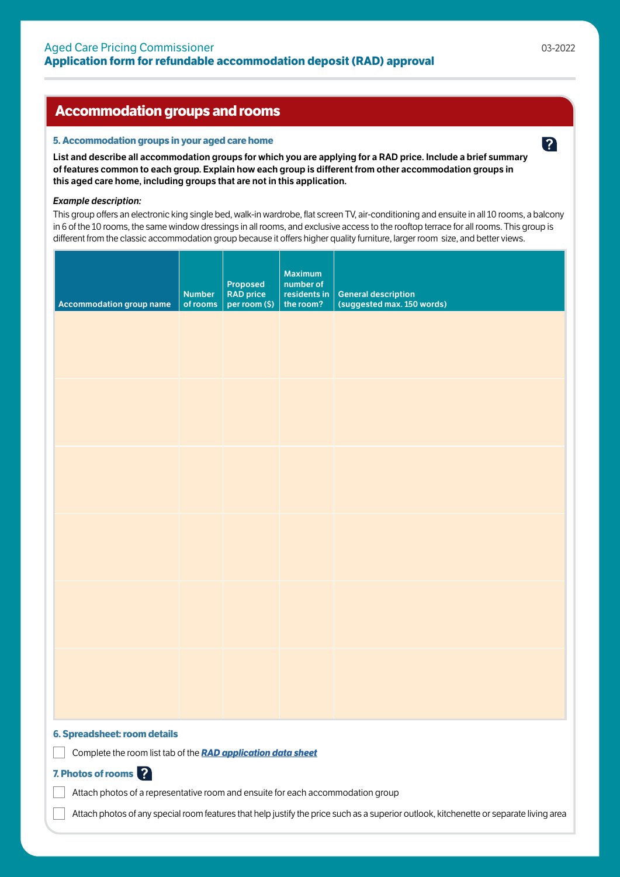#### <span id="page-2-0"></span>**5. Accommodation groups in your aged care home**

List and describe all accommodation groups for which you are applying for a RAD price. Include a brief summary of features common to each group. Explain how each group is different from other accommodation groups in this aged care home, including groups that are not in this application.

#### *Example description:*

This group offers an electronic king single bed, walk-in wardrobe, flat screen TV, air-conditioning and ensuite in all 10 rooms, a balcony in 6 of the 10 rooms, the same window dressings in all rooms, and exclusive access to the rooftop terrace for all rooms. This group is different from the classic accommodation group because it offers higher quality furniture, larger room size, and better views.

| <b>Accommodation group name</b>                                                                                                        | <b>Number</b><br>of rooms | <b>Proposed</b><br><b>RAD</b> price<br>per room (\$) | <b>Maximum</b><br>number of<br>residents in<br>the room? | <b>General description</b><br>(suggested max. 150 words) |
|----------------------------------------------------------------------------------------------------------------------------------------|---------------------------|------------------------------------------------------|----------------------------------------------------------|----------------------------------------------------------|
|                                                                                                                                        |                           |                                                      |                                                          |                                                          |
|                                                                                                                                        |                           |                                                      |                                                          |                                                          |
|                                                                                                                                        |                           |                                                      |                                                          |                                                          |
|                                                                                                                                        |                           |                                                      |                                                          |                                                          |
|                                                                                                                                        |                           |                                                      |                                                          |                                                          |
|                                                                                                                                        |                           |                                                      |                                                          |                                                          |
| <b>6. Spreadsheet: room details</b><br>Complete the room list tab of the <b>RAD application data sheet</b>                             |                           |                                                      |                                                          |                                                          |
| 7. Photos of rooms                                                                                                                     |                           |                                                      |                                                          |                                                          |
| Attach photos of a representative room and ensuite for each accommodation group                                                        |                           |                                                      |                                                          |                                                          |
| Attach photos of any special room features that help justify the price such as a superior outlook, kitchenette or separate living area |                           |                                                      |                                                          |                                                          |

03-2022

2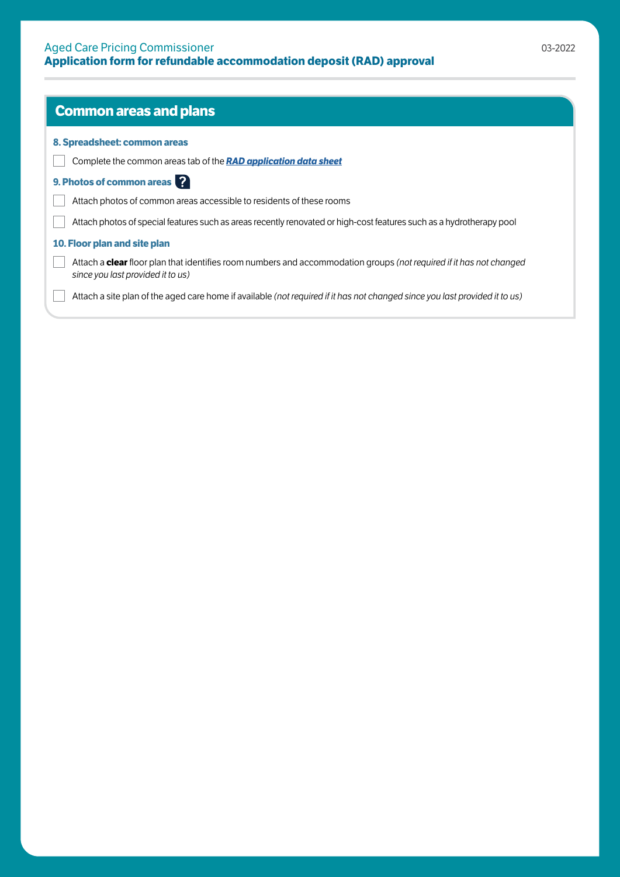## <span id="page-3-0"></span>**Common areas and plans**

Complete the common areas tab of the *[RAD application data sheet](https://acpc.gov.au/resources/refundable-accommodation-deposit-rad-approval-application-form)*

### **9. Photos of common areas**

**8. Spreadsheet: common areas**

Attach photos of common areas accessible to residents of these rooms

Attach photos of special features such as areas recently renovated or high-cost features such as a hydrotherapy pool

#### **10. Floor plan and site plan**

 Attach a **clear** floor plan that identifies room numbers and accommodation groups *(not required if it has not changed since you last provided it to us)*

Attach a site plan of the aged care home if available *(not required if it has not changed since you last provided it to us)*  $\mathbb{R}$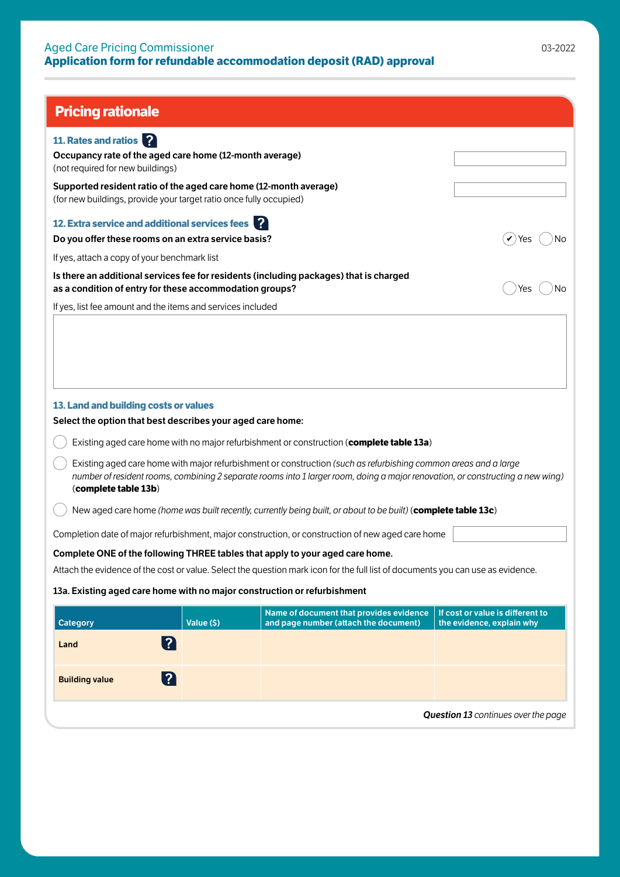<span id="page-4-0"></span>

| <b>Pricing rationale</b>                                                                                                                |            |                                                                                                                                                                                                                                                                                                                                               |                                                               |
|-----------------------------------------------------------------------------------------------------------------------------------------|------------|-----------------------------------------------------------------------------------------------------------------------------------------------------------------------------------------------------------------------------------------------------------------------------------------------------------------------------------------------|---------------------------------------------------------------|
| 11. Rates and ratios                                                                                                                    |            |                                                                                                                                                                                                                                                                                                                                               |                                                               |
| Occupancy rate of the aged care home (12-month average)<br>(not required for new buildings)                                             |            |                                                                                                                                                                                                                                                                                                                                               |                                                               |
| Supported resident ratio of the aged care home (12-month average)<br>(for new buildings, provide your target ratio once fully occupied) |            |                                                                                                                                                                                                                                                                                                                                               |                                                               |
| 12. Extra service and additional services fees<br>Do you offer these rooms on an extra service basis?                                   |            |                                                                                                                                                                                                                                                                                                                                               | Yes<br>No                                                     |
| If yes, attach a copy of your benchmark list                                                                                            |            |                                                                                                                                                                                                                                                                                                                                               |                                                               |
| as a condition of entry for these accommodation groups?                                                                                 |            | Is there an additional services fee for residents (including packages) that is charged                                                                                                                                                                                                                                                        | No<br>Yes                                                     |
| If yes, list fee amount and the items and services included                                                                             |            |                                                                                                                                                                                                                                                                                                                                               |                                                               |
| 13. Land and building costs or values<br>Select the option that best describes your aged care home:<br>(complete table 13b)             |            | Existing aged care home with no major refurbishment or construction (complete table 13a)<br>Existing aged care home with major refurbishment or construction (such as refurbishing common areas and a large<br>number of resident rooms, combining 2 separate rooms into 1 larger room, doing a major renovation, or constructing a new wing) |                                                               |
|                                                                                                                                         |            | New aged care home (home was built recently, currently being built, or about to be built) (complete table 13c)                                                                                                                                                                                                                                |                                                               |
|                                                                                                                                         |            | Completion date of major refurbishment, major construction, or construction of new aged care home                                                                                                                                                                                                                                             |                                                               |
|                                                                                                                                         |            | Complete ONE of the following THREE tables that apply to your aged care home.<br>Attach the evidence of the cost or value. Select the question mark icon for the full list of documents you can use as evidence.                                                                                                                              |                                                               |
| 13a. Existing aged care home with no major construction or refurbishment                                                                |            |                                                                                                                                                                                                                                                                                                                                               |                                                               |
| <b>Category</b>                                                                                                                         | Value (\$) | Name of document that provides evidence<br>and page number (attach the document)                                                                                                                                                                                                                                                              | If cost or value is different to<br>the evidence, explain why |
| 2<br>Land                                                                                                                               |            |                                                                                                                                                                                                                                                                                                                                               |                                                               |
| 2 <br><b>Building value</b>                                                                                                             |            |                                                                                                                                                                                                                                                                                                                                               |                                                               |

*Question 13 continues over the page*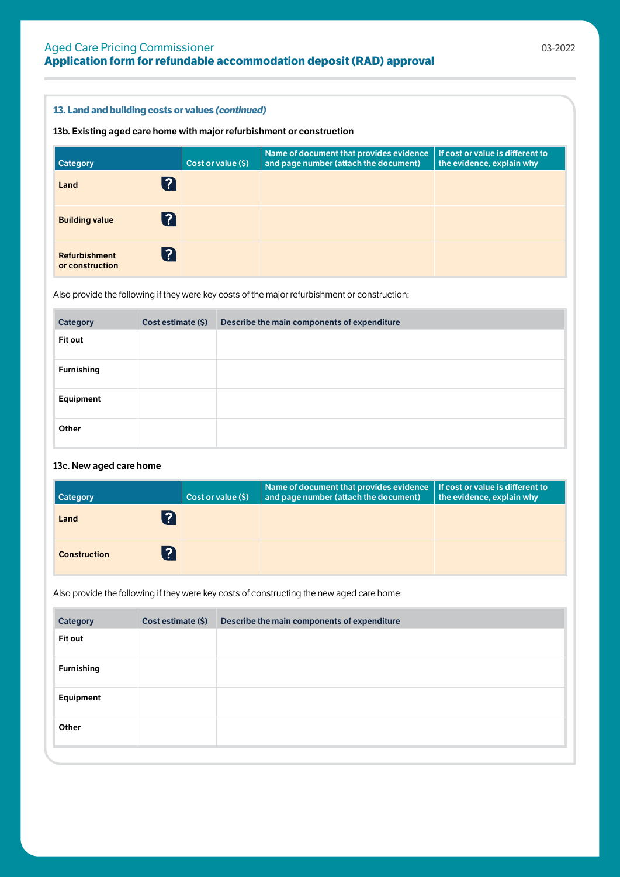#### <span id="page-5-0"></span>**13. Land and building costs or values** *(continued)*

#### 13b. Existing aged care home with major refurbishment or construction

| <b>Category</b>                               | Cost or value (\$) | Name of document that provides evidence<br>and page number (attach the document) | If cost or value is different to<br>the evidence, explain why |
|-----------------------------------------------|--------------------|----------------------------------------------------------------------------------|---------------------------------------------------------------|
| ? <br>Land                                    |                    |                                                                                  |                                                               |
| <b>P</b><br><b>Building value</b>             |                    |                                                                                  |                                                               |
| 2 <br><b>Refurbishment</b><br>or construction |                    |                                                                                  |                                                               |

Also provide the following if they were key costs of the major refurbishment or construction:

| <b>Category</b> | Cost estimate (\$) | Describe the main components of expenditure |
|-----------------|--------------------|---------------------------------------------|
| Fit out         |                    |                                             |
| Furnishing      |                    |                                             |
| Equipment       |                    |                                             |
| Other           |                    |                                             |

#### 13c. New aged care home

| <b>Category</b>           | Cost or value (\$) | Name of document that provides evidence $\vert$ If cost or value is different to<br>and page number (attach the document) | the evidence, explain why |
|---------------------------|--------------------|---------------------------------------------------------------------------------------------------------------------------|---------------------------|
| $\mathbf{\Omega}$<br>Land |                    |                                                                                                                           |                           |
| ာ<br><b>Construction</b>  |                    |                                                                                                                           |                           |

Also provide the following if they were key costs of constructing the new aged care home:

| <b>Category</b> | Cost estimate (\$) | Describe the main components of expenditure |
|-----------------|--------------------|---------------------------------------------|
| Fit out         |                    |                                             |
| Furnishing      |                    |                                             |
| Equipment       |                    |                                             |
| Other           |                    |                                             |
|                 |                    |                                             |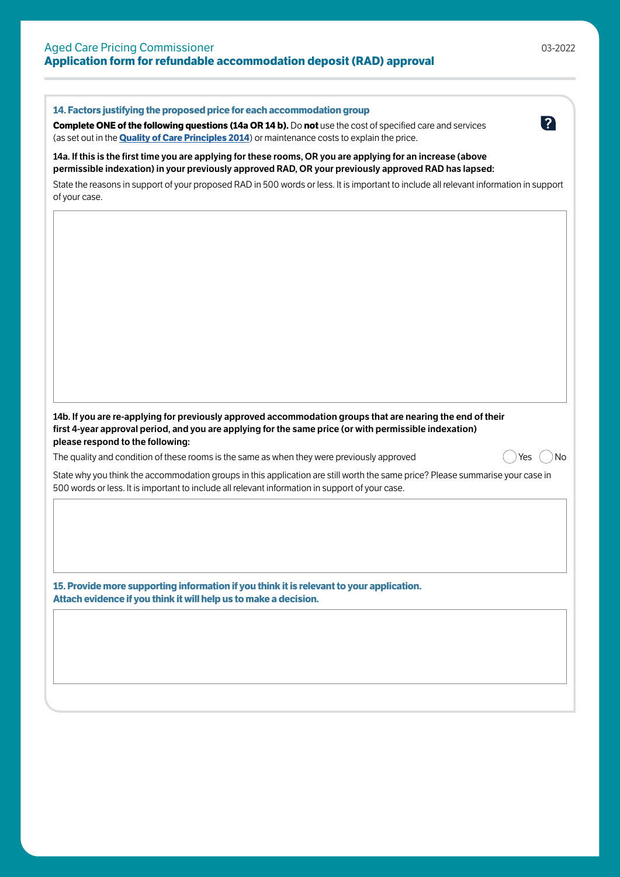#### <span id="page-6-0"></span>**14. Factors justifying the proposed price for each accommodation group**

**Complete ONE of the following questions (14a OR 14 b).** Do **not** use the cost of specified care and services (as set out in the **[Quality of Care Principles 2014](https://www.legislation.gov.au/Details/F2020C00096)**) or maintenance costs to explain the price.

14a. If this is the first time you are applying for these rooms, OR you are applying for an increase (above permissible indexation) in your previously approved RAD, OR your previously approved RAD has lapsed:

State the reasons in support of your proposed RAD in 500 words or less. It is important to include all relevant information in support of your case.

14b. If you are re-applying for previously approved accommodation groups that are nearing the end of their first 4-year approval period, and you are applying for the same price (or with permissible indexation) please respond to the following:

The quality and condition of these rooms is the same as when they were previously approved  $\langle \rangle$  Yes  $\langle \rangle$  No

|  | N |
|--|---|
|  |   |

State why you think the accommodation groups in this application are still worth the same price? Please summarise your case in 500 words or less. It is important to include all relevant information in support of your case.

**15. Provide more supporting information if you think it is relevant to your application. Attach evidence if you think it will help us to make a decision.**

2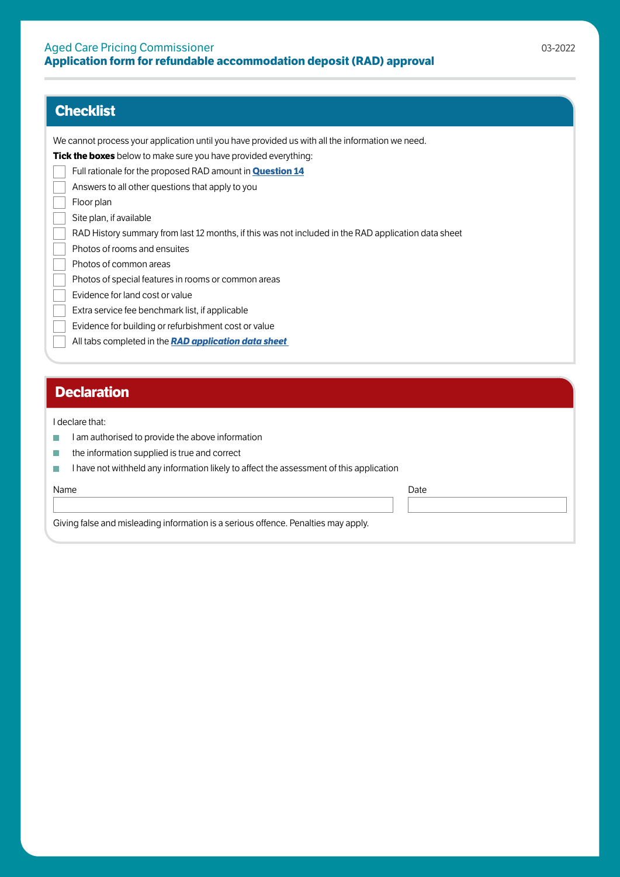## **Checklist**

We cannot process your application until you have provided us with all the information we need.

**Tick the boxes** below to make sure you have provided everything:

Full rationale for the proposed RAD amount in **[Question 14](#page-6-0)**

Answers to all other questions that apply to you

- Floor plan
- Site plan, if available

RAD History summary from last 12 months, if this was not included in the RAD application data sheet

- Photos of rooms and ensuites
- Photos of common areas

Photos of special features in rooms or common areas

- Evidence for land cost or value
- Extra service fee benchmark list, if applicable
- Evidence for building or refurbishment cost or value
- All tabs completed in the *[RAD application data sheet](https://acpc.gov.au/resources/refundable-accommodation-deposit-rad-approval-application-form)*

## **Declaration**

I declare that:

- $\mathcal{C}^{\mathcal{A}}$ I am authorised to provide the above information
- the information supplied is true and correct  $\overline{\phantom{a}}$
- I have not withheld any information likely to affect the assessment of this application п

Name Date and the Contract of the Contract of the Contract of the Contract of the Date Date of the Date of the

Giving false and misleading information is a serious offence. Penalties may apply.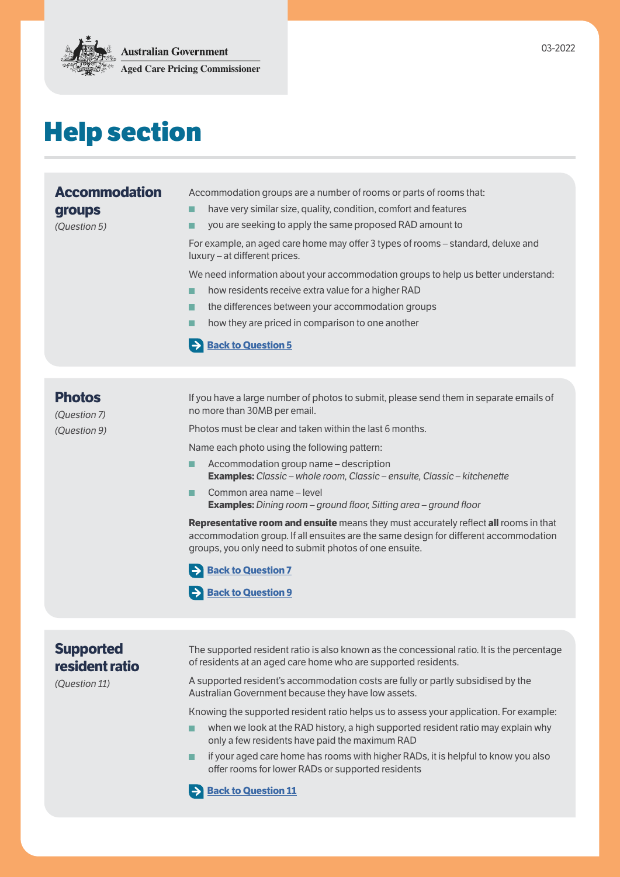<span id="page-8-0"></span>

## **Help section**

## **Accommodation groups**

*(Question 5)*

Accommodation groups are a number of rooms or parts of rooms that:

- have very similar size, quality, condition, comfort and features
- you are seeking to apply the same proposed RAD amount to

For example, an aged care home may offer 3 types of rooms – standard, deluxe and luxury – at different prices.

We need information about your accommodation groups to help us better understand:

- **how residents receive extra value for a higher RAD**
- the differences between your accommodation groups
- how they are priced in comparison to one another

#### **[Back to Question 5](#page-2-0)**

### **Photos**

*(Question 7) (Question 9)* If you have a large number of photos to submit, please send them in separate emails of no more than 30MB per email.

Photos must be clear and taken within the last 6 months.

Name each photo using the following pattern:

- Accommodation group name description **Examples:** *Classic – whole room, Classic – ensuite, Classic – kitchenette*
- Common area name level **Examples:** *Dining room – ground floor, Sitting area – ground floor*

**Representative room and ensuite** means they must accurately reflect **all** rooms in that accommodation group. If all ensuites are the same design for different accommodation groups, you only need to submit photos of one ensuite.



**[Back to Question 9](#page-3-0)** 

## **Supported resident ratio**

*(Question 11)*

The supported resident ratio is also known as the concessional ratio. It is the percentage of residents at an aged care home who are supported residents.

A supported resident's accommodation costs are fully or partly subsidised by the Australian Government because they have low assets.

Knowing the supported resident ratio helps us to assess your application. For example:

- when we look at the RAD history, a high supported resident ratio may explain why only a few residents have paid the maximum RAD
- if your aged care home has rooms with higher RADs, it is helpful to know you also offer rooms for lower RADs or supported residents

**[Back to Question 11](#page-4-0)**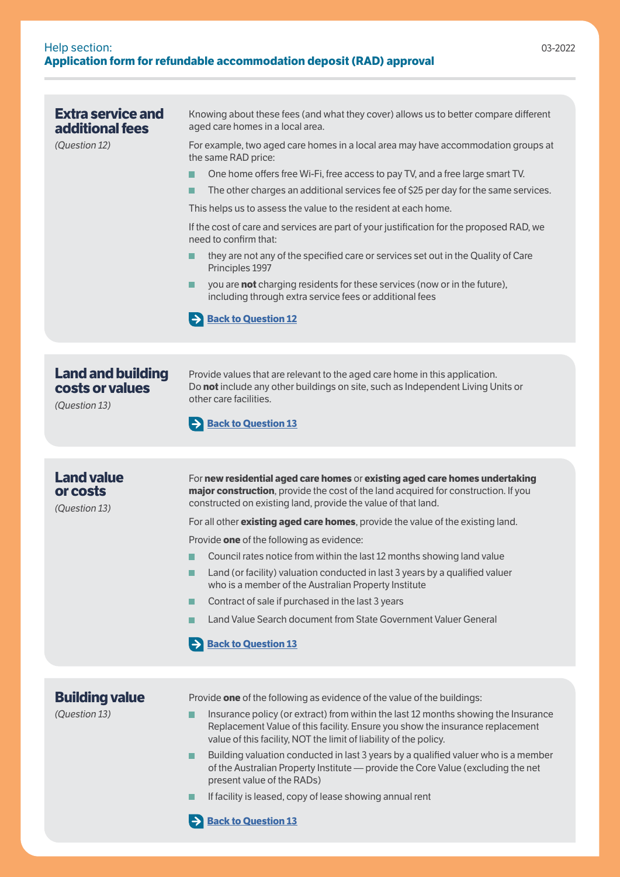| <b>Extra service and</b> |  |
|--------------------------|--|
| additional fees          |  |

*(Question 12)*

Knowing about these fees (and what they cover) allows us to better compare different aged care homes in a local area.

For example, two aged care homes in a local area may have accommodation groups at the same RAD price:

- One home offers free Wi-Fi, free access to pay TV, and a free large smart TV.  $\blacksquare$
- $\blacksquare$ The other charges an additional services fee of \$25 per day for the same services.

This helps us to assess the value to the resident at each home.

If the cost of care and services are part of your justification for the proposed RAD, we need to confirm that:

- they are not any of the specified care or services set out in the Quality of Care Principles 1997
- **v** you are **not** charging residents for these services (now or in the future), including through extra service fees or additional fees

**[Back to Question 12](#page-4-0)** 

| <b>Land and building</b><br>costs or values<br>(Question 13) | Provide values that are relevant to the aged care home in this application.<br>Do not include any other buildings on site, such as Independent Living Units or<br>other care facilities.<br><b>Back to Question 13</b>                                                                                              |
|--------------------------------------------------------------|---------------------------------------------------------------------------------------------------------------------------------------------------------------------------------------------------------------------------------------------------------------------------------------------------------------------|
|                                                              |                                                                                                                                                                                                                                                                                                                     |
| <b>Land value</b><br>or costs<br>(Question 13)               | For new residential aged care homes or existing aged care homes undertaking<br>major construction, provide the cost of the land acquired for construction. If you<br>constructed on existing land, provide the value of that land.                                                                                  |
|                                                              | For all other existing aged care homes, provide the value of the existing land.                                                                                                                                                                                                                                     |
|                                                              | Provide one of the following as evidence:                                                                                                                                                                                                                                                                           |
|                                                              | Council rates notice from within the last 12 months showing land value                                                                                                                                                                                                                                              |
|                                                              | Land (or facility) valuation conducted in last 3 years by a qualified valuer<br>who is a member of the Australian Property Institute                                                                                                                                                                                |
|                                                              | Contract of sale if purchased in the last 3 years                                                                                                                                                                                                                                                                   |
|                                                              | Land Value Search document from State Government Valuer General                                                                                                                                                                                                                                                     |
|                                                              | <b>Back to Question 13</b>                                                                                                                                                                                                                                                                                          |
|                                                              |                                                                                                                                                                                                                                                                                                                     |
| <b>Building value</b><br>(Question 13)                       | Provide one of the following as evidence of the value of the buildings:<br>Insurance policy (or extract) from within the last 12 months showing the Insurance<br>Replacement Value of this facility. Ensure you show the insurance replacement<br>value of this facility, NOT the limit of liability of the policy. |
|                                                              | Building valuation conducted in last 3 years by a qualified valuer who is a member<br>of the Australian Property Institute - provide the Core Value (excluding the net<br>present value of the RADs)                                                                                                                |

**If facility is leased, copy of lease showing annual rent** 

**[Back to Question 13](#page-4-0)**